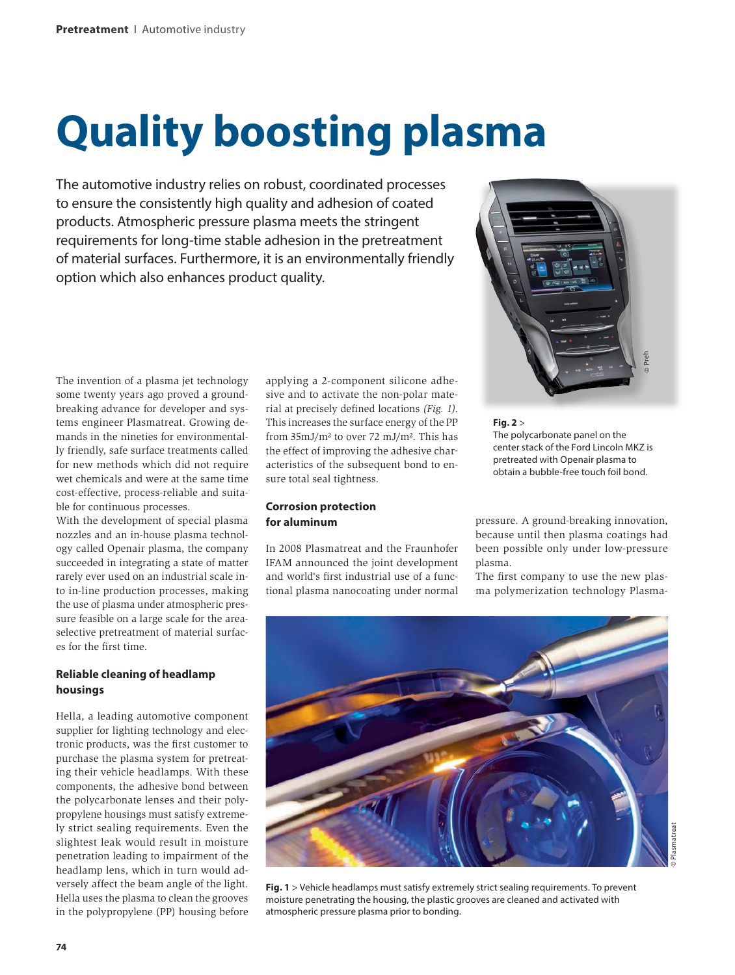# **Quality boosting plasma**

The automotive industry relies on robust, coordinated processes to ensure the consistently high quality and adhesion of coated products. Atmospheric pressure plasma meets the stringent requirements for long-time stable adhesion in the pretreatment of material surfaces. Furthermore, it is an environmentally friendly option which also enhances product quality.



The invention of a plasma jet technology some twenty years ago proved a groundbreaking advance for developer and systems engineer Plasmatreat. Growing demands in the nineties for environmentally friendly, safe surface treatments called for new methods which did not require wet chemicals and were at the same time cost-effective, process-reliable and suitable for continuous processes.

With the development of special plasma nozzles and an in-house plasma technology called Openair plasma, the company succeeded in integrating a state of matter rarely ever used on an industrial scale into in-line production processes, making the use of plasma under atmospheric pressure feasible on a large scale for the areaselective pretreatment of material surfaces for the first time.

## **Reliable cleaning of headlamp housings**

Hella, a leading automotive component supplier for lighting technology and electronic products, was the first customer to purchase the plasma system for pretreating their vehicle headlamps. With these components, the adhesive bond between the polycarbonate lenses and their polypropylene housings must satisfy extremely strict sealing requirements. Even the slightest leak would result in moisture penetration leading to impairment of the headlamp lens, which in turn would adversely affect the beam angle of the light. Hella uses the plasma to clean the grooves in the polypropylene (PP) housing before

applying a 2-component silicone adhesive and to activate the non-polar material at precisely defined locations *(Fig. 1)*. This increases the surface energy of the PP from 35mJ/m² to over 72 mJ/m². This has the effect of improving the adhesive characteristics of the subsequent bond to ensure total seal tightness.

## **Corrosion protection for aluminum**

In 2008 Plasmatreat and the Fraunhofer IFAM announced the joint development and world's first industrial use of a functional plasma nanocoating under normal **Fig. 2** > The polycarbonate panel on the center stack of the Ford Lincoln MKZ is pretreated with Openair plasma to obtain a bubble-free touch foil bond.

pressure. A ground-breaking innovation, because until then plasma coatings had been possible only under low-pressure plasma.

The first company to use the new plasma polymerization technology Plasma-



**Fig. 1** > Vehicle headlamps must satisfy extremely strict sealing requirements. To prevent moisture penetrating the housing, the plastic grooves are cleaned and activated with atmospheric pressure plasma prior to bonding.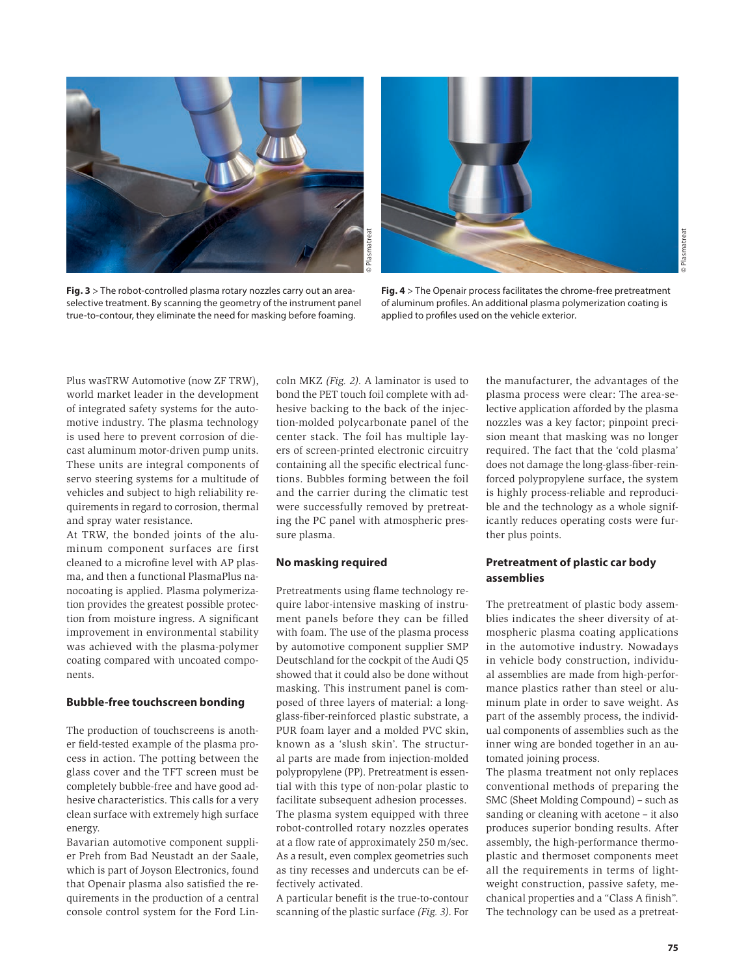

**Fig. 3** > The robot-controlled plasma rotary nozzles carry out an areaselective treatment. By scanning the geometry of the instrument panel true-to-contour, they eliminate the need for masking before foaming.



**Fig. 4** > The Openair process facilitates the chrome-free pretreatment of aluminum profiles. An additional plasma polymerization coating is applied to profiles used on the vehicle exterior.

Plus wasTRW Automotive (now ZF TRW), world market leader in the development of integrated safety systems for the automotive industry. The plasma technology is used here to prevent corrosion of diecast aluminum motor-driven pump units. These units are integral components of servo steering systems for a multitude of vehicles and subject to high reliability requirements in regard to corrosion, thermal and spray water resistance.

At TRW, the bonded joints of the aluminum component surfaces are first cleaned to a microfine level with AP plasma, and then a functional PlasmaPlus nanocoating is applied. Plasma polymerization provides the greatest possible protection from moisture ingress. A significant improvement in environmental stability was achieved with the plasma-polymer coating compared with uncoated components.

### **Bubble-free touchscreen bonding**

The production of touchscreens is another field-tested example of the plasma process in action. The potting between the glass cover and the TFT screen must be completely bubble-free and have good adhesive characteristics. This calls for a very clean surface with extremely high surface energy.

Bavarian automotive component supplier Preh from Bad Neustadt an der Saale, which is part of Joyson Electronics, found that Openair plasma also satisfied the requirements in the production of a central console control system for the Ford Lin-

coln MKZ *(Fig. 2)*. A laminator is used to bond the PET touch foil complete with adhesive backing to the back of the injection-molded polycarbonate panel of the center stack. The foil has multiple layers of screen-printed electronic circuitry containing all the specific electrical functions. Bubbles forming between the foil and the carrier during the climatic test were successfully removed by pretreating the PC panel with atmospheric pressure plasma.

#### **No masking required**

Pretreatments using flame technology require labor-intensive masking of instrument panels before they can be filled with foam. The use of the plasma process by automotive component supplier SMP Deutschland for the cockpit of the Audi Q5 showed that it could also be done without masking. This instrument panel is composed of three layers of material: a longglass-fiber-reinforced plastic substrate, a PUR foam layer and a molded PVC skin, known as a 'slush skin'. The structural parts are made from injection-molded polypropylene (PP). Pretreatment is essential with this type of non-polar plastic to facilitate subsequent adhesion processes. The plasma system equipped with three robot-controlled rotary nozzles operates at a flow rate of approximately 250 m/sec. As a result, even complex geometries such as tiny recesses and undercuts can be effectively activated.

A particular benefit is the true-to-contour scanning of the plastic surface *(Fig. 3)*. For the manufacturer, the advantages of the plasma process were clear: The area-selective application afforded by the plasma nozzles was a key factor; pinpoint precision meant that masking was no longer required. The fact that the 'cold plasma' does not damage the long-glass-fiber-reinforced polypropylene surface, the system is highly process-reliable and reproducible and the technology as a whole significantly reduces operating costs were further plus points.

## **Pretreatment of plastic car body assemblies**

The pretreatment of plastic body assemblies indicates the sheer diversity of atmospheric plasma coating applications in the automotive industry. Nowadays in vehicle body construction, individual assemblies are made from high-performance plastics rather than steel or aluminum plate in order to save weight. As part of the assembly process, the individual components of assemblies such as the inner wing are bonded together in an automated joining process.

The plasma treatment not only replaces conventional methods of preparing the SMC (Sheet Molding Compound) – such as sanding or cleaning with acetone – it also produces superior bonding results. After assembly, the high-performance thermoplastic and thermoset components meet all the requirements in terms of lightweight construction, passive safety, mechanical properties and a "Class A finish". The technology can be used as a pretreat-